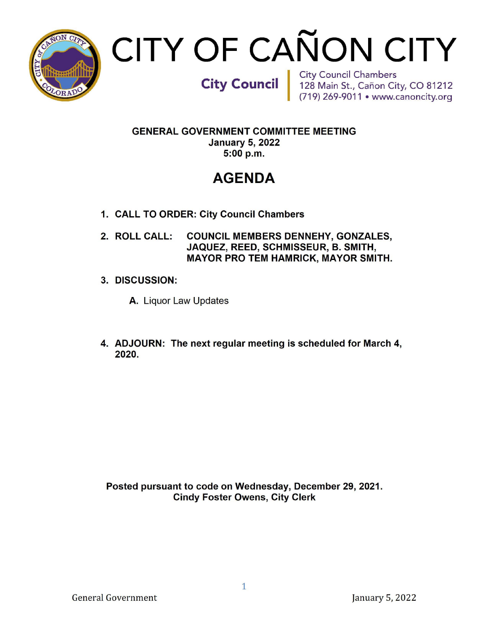

# CITY OF CAÑON CITY

City Council | City Council Chambers<br>128 Main St., Cañon City, CO 81212<br>(719) 269-9011 • www.canoncity.org

**GENERAL GOVERNMENT COMMITTEE MEETING** January5, 2022 5:00 p.m.

# AGENDA

- 1. CALL TO ORDER: City Council Chambers
- 2. ROLL CALL: COUNCIL MEMBERS DENNEHY, GONZALES, JAQUEZ, REED, SCHMISSEUR, B. SMITH, MAYOR PRO TEM HAMRICK, MAYOR SMITH.
- 3. DISCUSSION:
	- A. Liquor LawUpdates
- 4. ADJOURN: The next regular meeting is scheduled for March 4, 2020.

Posted pursuant to code on Wednesday, December 29, 2021. **Cindy Foster Owens, City Clerk**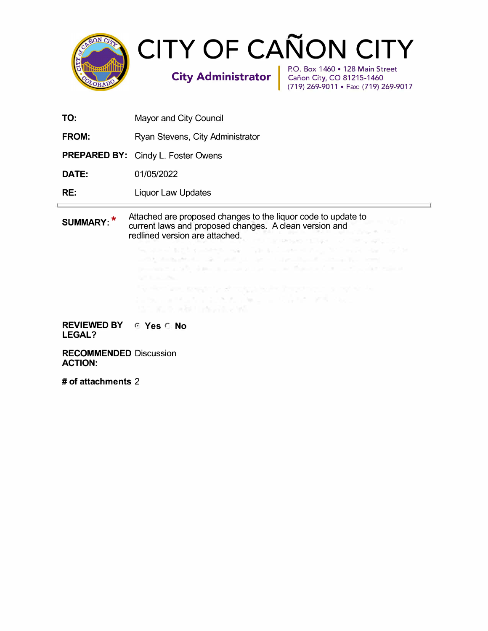

**TO:**  Mayor and City Council

**FROM:**  Ryan Stevens, City Administrator

**PREPARED BY:** Cindy L. Foster Owens

**DATE:**  01/05/2022

**RE:**  Liquor Law Updates

Attached are proposed changes to the liquor code to update to **SUMMARY:\***  current laws and proposed changes. A clean version and redlined version are attached. Post class of the

anys such that is followed may be been to such

integrates and the state of the control of the state of the

REVIEWED BY **REVIEWED** BY LEGAL?

RECOMMENDED Discussion ACTION:

# of attachments 2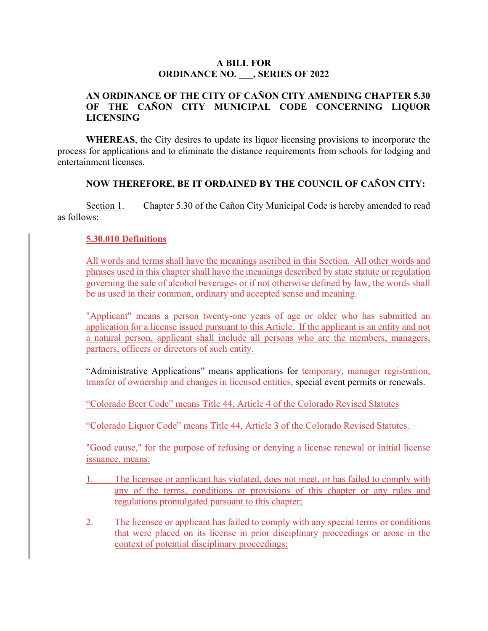#### **A BILL FOR ORDINANCE NO. \_\_\_, SERIES OF 2022**

# **AN ORDINANCE OF THE CITY OF CAÑON CITY AMENDING CHAPTER 5.30 OF THE CAÑON CITY MUNICIPAL CODE CONCERNING LIQUOR LICENSING**

**WHEREAS**, the City desires to update its liquor licensing provisions to incorporate the process for applications and to eliminate the distance requirements from schools for lodging and entertainment licenses.

#### **NOW THEREFORE, BE IT ORDAINED BY THE COUNCIL OF CAÑON CITY:**

Section 1. Chapter 5.30 of the Cañon City Municipal Code is hereby amended to read as follows:

#### **5.30.010 Definitions**

All words and terms shall have the meanings ascribed in this Section. All other words and phrases used in this chapter shall have the meanings described by state statute or regulation governing the sale of alcohol beverages or if not otherwise defined by law, the words shall be as used in their common, ordinary and accepted sense and meaning.

"Applicant" means a person twenty-one years of age or older who has submitted an application for a license issued pursuant to this Article. If the applicant is an entity and not a natural person, applicant shall include all persons who are the members, managers, partners, officers or directors of such entity.

"Administrative Applications" means applications for temporary, manager registration, transfer of ownership and changes in licensed entities, special event permits or renewals.

"Colorado Beer Code" means Title 44, Article 4 of the Colorado Revised Statutes

"Colorado Liquor Code" means Title 44, Article 3 of the Colorado Revised Statutes.

"Good cause," for the purpose of refusing or denying a license renewal or initial license issuance, means:

- 1. The licensee or applicant has violated, does not meet, or has failed to comply with any of the terms, conditions or provisions of this chapter or any rules and regulations promulgated pursuant to this chapter;
- 2. The licensee or applicant has failed to comply with any special terms or conditions that were placed on its license in prior disciplinary proceedings or arose in the context of potential disciplinary proceedings;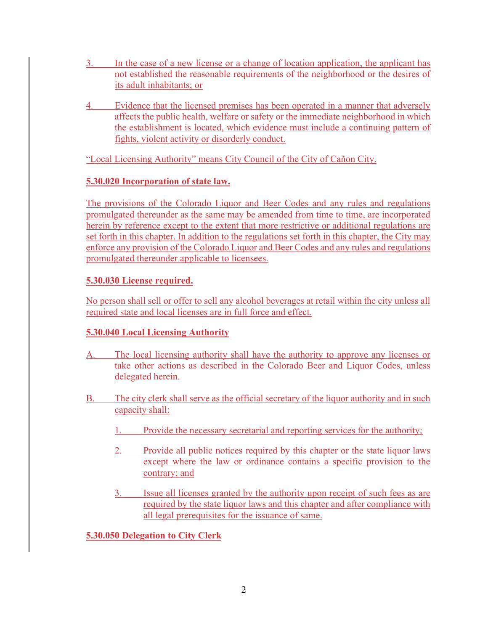- 3. In the case of a new license or a change of location application, the applicant has not established the reasonable requirements of the neighborhood or the desires of its adult inhabitants; or
- 4. Evidence that the licensed premises has been operated in a manner that adversely affects the public health, welfare or safety or the immediate neighborhood in which the establishment is located, which evidence must include a continuing pattern of fights, violent activity or disorderly conduct.

"Local Licensing Authority" means City Council of the City of Cañon City.

# **5.30.020 Incorporation of state law.**

The provisions of the Colorado Liquor and Beer Codes and any rules and regulations promulgated thereunder as the same may be amended from time to time, are incorporated herein by reference except to the extent that more restrictive or additional regulations are set forth in this chapter. In addition to the regulations set forth in this chapter, the City may enforce any provision of the Colorado Liquor and Beer Codes and any rules and regulations promulgated thereunder applicable to licensees.

# **5.30.030 License required.**

No person shall sell or offer to sell any alcohol beverages at retail within the city unless all required state and local licenses are in full force and effect.

# **5.30.040 Local Licensing Authority**

- A. The local licensing authority shall have the authority to approve any licenses or take other actions as described in the Colorado Beer and Liquor Codes, unless delegated herein.
- B. The city clerk shall serve as the official secretary of the liquor authority and in such capacity shall:
	- 1. Provide the necessary secretarial and reporting services for the authority;
	- 2. Provide all public notices required by this chapter or the state liquor laws except where the law or ordinance contains a specific provision to the contrary; and
	- 3. Issue all licenses granted by the authority upon receipt of such fees as are required by the state liquor laws and this chapter and after compliance with all legal prerequisites for the issuance of same.

**5.30.050 Delegation to City Clerk**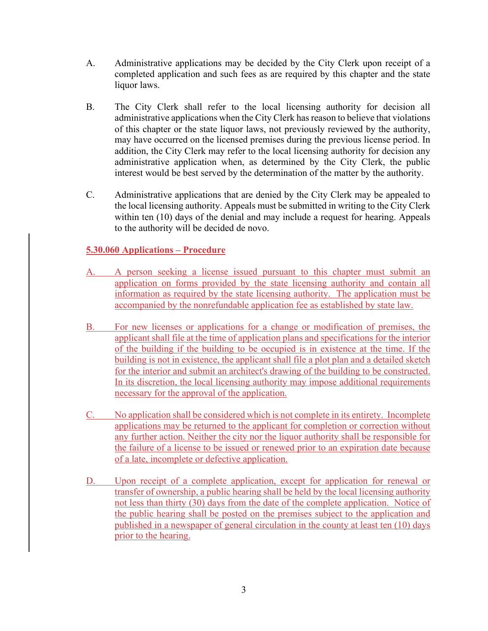- A. Administrative applications may be decided by the City Clerk upon receipt of a completed application and such fees as are required by this chapter and the state liquor laws.
- B. The City Clerk shall refer to the local licensing authority for decision all administrative applications when the City Clerk has reason to believe that violations of this chapter or the state liquor laws, not previously reviewed by the authority, may have occurred on the licensed premises during the previous license period. In addition, the City Clerk may refer to the local licensing authority for decision any administrative application when, as determined by the City Clerk, the public interest would be best served by the determination of the matter by the authority.
- C. Administrative applications that are denied by the City Clerk may be appealed to the local licensing authority. Appeals must be submitted in writing to the City Clerk within ten (10) days of the denial and may include a request for hearing. Appeals to the authority will be decided de novo.

# **5.30.060 Applications – Procedure**

- A. A person seeking a license issued pursuant to this chapter must submit an application on forms provided by the state licensing authority and contain all information as required by the state licensing authority. The application must be accompanied by the nonrefundable application fee as established by state law.
- B. For new licenses or applications for a change or modification of premises, the applicant shall file at the time of application plans and specifications for the interior of the building if the building to be occupied is in existence at the time. If the building is not in existence, the applicant shall file a plot plan and a detailed sketch for the interior and submit an architect's drawing of the building to be constructed. In its discretion, the local licensing authority may impose additional requirements necessary for the approval of the application.
- C. No application shall be considered which is not complete in its entirety. Incomplete applications may be returned to the applicant for completion or correction without any further action. Neither the city nor the liquor authority shall be responsible for the failure of a license to be issued or renewed prior to an expiration date because of a late, incomplete or defective application.
- D. Upon receipt of a complete application, except for application for renewal or transfer of ownership, a public hearing shall be held by the local licensing authority not less than thirty (30) days from the date of the complete application. Notice of the public hearing shall be posted on the premises subject to the application and published in a newspaper of general circulation in the county at least ten (10) days prior to the hearing.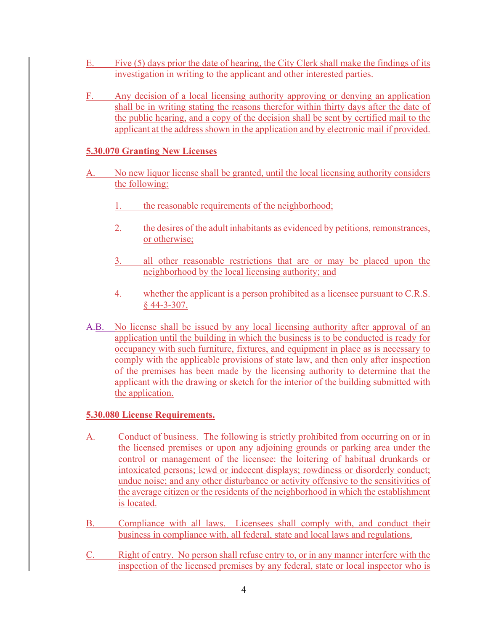- E. Five (5) days prior the date of hearing, the City Clerk shall make the findings of its investigation in writing to the applicant and other interested parties.
- F. Any decision of a local licensing authority approving or denying an application shall be in writing stating the reasons therefor within thirty days after the date of the public hearing, and a copy of the decision shall be sent by certified mail to the applicant at the address shown in the application and by electronic mail if provided.

# **5.30.070 Granting New Licenses**

- A. No new liquor license shall be granted, until the local licensing authority considers the following:
	- 1. the reasonable requirements of the neighborhood;
	- 2. the desires of the adult inhabitants as evidenced by petitions, remonstrances, or otherwise;
	- 3. all other reasonable restrictions that are or may be placed upon the neighborhood by the local licensing authority; and
	- 4. whether the applicant is a person prohibited as a licensee pursuant to C.R.S. § 44-3-307.
- A.B. No license shall be issued by any local licensing authority after approval of an application until the building in which the business is to be conducted is ready for occupancy with such furniture, fixtures, and equipment in place as is necessary to comply with the applicable provisions of state law, and then only after inspection of the premises has been made by the licensing authority to determine that the applicant with the drawing or sketch for the interior of the building submitted with the application.

#### **5.30.080 License Requirements.**

- A. Conduct of business. The following is strictly prohibited from occurring on or in the licensed premises or upon any adjoining grounds or parking area under the control or management of the licensee: the loitering of habitual drunkards or intoxicated persons; lewd or indecent displays; rowdiness or disorderly conduct; undue noise; and any other disturbance or activity offensive to the sensitivities of the average citizen or the residents of the neighborhood in which the establishment is located.
- B. Compliance with all laws. Licensees shall comply with, and conduct their business in compliance with, all federal, state and local laws and regulations.
- C. Right of entry. No person shall refuse entry to, or in any manner interfere with the inspection of the licensed premises by any federal, state or local inspector who is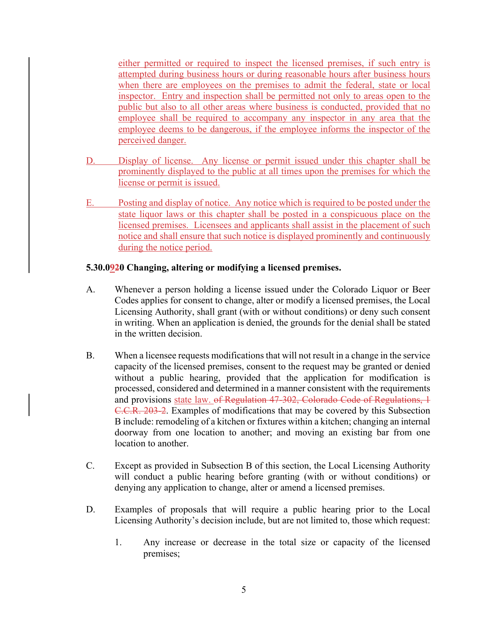either permitted or required to inspect the licensed premises, if such entry is attempted during business hours or during reasonable hours after business hours when there are employees on the premises to admit the federal, state or local inspector. Entry and inspection shall be permitted not only to areas open to the public but also to all other areas where business is conducted, provided that no employee shall be required to accompany any inspector in any area that the employee deems to be dangerous, if the employee informs the inspector of the perceived danger.

- D. Display of license. Any license or permit issued under this chapter shall be prominently displayed to the public at all times upon the premises for which the license or permit is issued.
- E. Posting and display of notice. Any notice which is required to be posted under the state liquor laws or this chapter shall be posted in a conspicuous place on the licensed premises. Licensees and applicants shall assist in the placement of such notice and shall ensure that such notice is displayed prominently and continuously during the notice period.

#### **5.30.0920 Changing, altering or modifying a licensed premises.**

- A. Whenever a person holding a license issued under the Colorado Liquor or Beer Codes applies for consent to change, alter or modify a licensed premises, the Local Licensing Authority, shall grant (with or without conditions) or deny such consent in writing. When an application is denied, the grounds for the denial shall be stated in the written decision.
- B. When a licensee requests modifications that will not result in a change in the service capacity of the licensed premises, consent to the request may be granted or denied without a public hearing, provided that the application for modification is processed, considered and determined in a manner consistent with the requirements and provisions state law. of Regulation 47-302, Colorado Code of Regulations, 1 C.C.R. 203-2. Examples of modifications that may be covered by this Subsection B include: remodeling of a kitchen or fixtures within a kitchen; changing an internal doorway from one location to another; and moving an existing bar from one location to another.
- C. Except as provided in Subsection B of this section, the Local Licensing Authority will conduct a public hearing before granting (with or without conditions) or denying any application to change, alter or amend a licensed premises.
- D. Examples of proposals that will require a public hearing prior to the Local Licensing Authority's decision include, but are not limited to, those which request:
	- 1. Any increase or decrease in the total size or capacity of the licensed premises;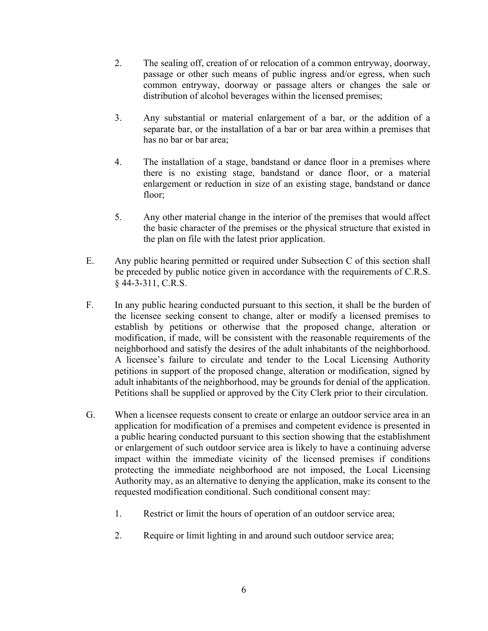- 2. The sealing off, creation of or relocation of a common entryway, doorway, passage or other such means of public ingress and/or egress, when such common entryway, doorway or passage alters or changes the sale or distribution of alcohol beverages within the licensed premises;
- 3. Any substantial or material enlargement of a bar, or the addition of a separate bar, or the installation of a bar or bar area within a premises that has no bar or bar area;
- 4. The installation of a stage, bandstand or dance floor in a premises where there is no existing stage, bandstand or dance floor, or a material enlargement or reduction in size of an existing stage, bandstand or dance floor;
- 5. Any other material change in the interior of the premises that would affect the basic character of the premises or the physical structure that existed in the plan on file with the latest prior application.
- E. Any public hearing permitted or required under Subsection C of this section shall be preceded by public notice given in accordance with the requirements of C.R.S. § 44-3-311, C.R.S.
- F. In any public hearing conducted pursuant to this section, it shall be the burden of the licensee seeking consent to change, alter or modify a licensed premises to establish by petitions or otherwise that the proposed change, alteration or modification, if made, will be consistent with the reasonable requirements of the neighborhood and satisfy the desires of the adult inhabitants of the neighborhood. A licensee's failure to circulate and tender to the Local Licensing Authority petitions in support of the proposed change, alteration or modification, signed by adult inhabitants of the neighborhood, may be grounds for denial of the application. Petitions shall be supplied or approved by the City Clerk prior to their circulation.
- G. When a licensee requests consent to create or enlarge an outdoor service area in an application for modification of a premises and competent evidence is presented in a public hearing conducted pursuant to this section showing that the establishment or enlargement of such outdoor service area is likely to have a continuing adverse impact within the immediate vicinity of the licensed premises if conditions protecting the immediate neighborhood are not imposed, the Local Licensing Authority may, as an alternative to denying the application, make its consent to the requested modification conditional. Such conditional consent may:
	- 1. Restrict or limit the hours of operation of an outdoor service area;
	- 2. Require or limit lighting in and around such outdoor service area;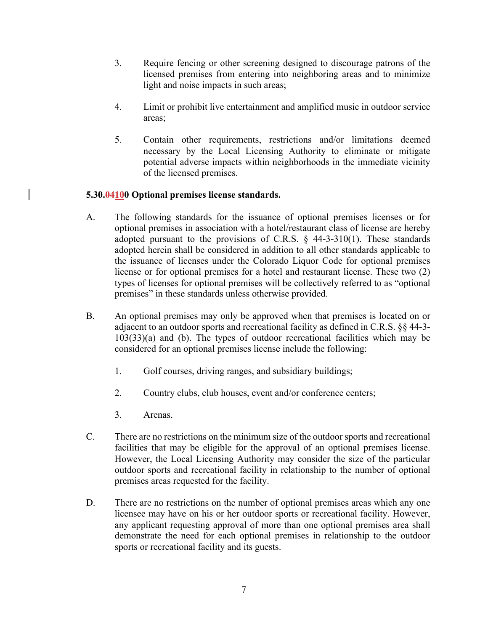- 3. Require fencing or other screening designed to discourage patrons of the licensed premises from entering into neighboring areas and to minimize light and noise impacts in such areas;
- 4. Limit or prohibit live entertainment and amplified music in outdoor service areas;
- 5. Contain other requirements, restrictions and/or limitations deemed necessary by the Local Licensing Authority to eliminate or mitigate potential adverse impacts within neighborhoods in the immediate vicinity of the licensed premises.

# **5.30.04100 Optional premises license standards.**

- A. The following standards for the issuance of optional premises licenses or for optional premises in association with a hotel/restaurant class of license are hereby adopted pursuant to the provisions of C.R.S.  $\S$  44-3-310(1). These standards adopted herein shall be considered in addition to all other standards applicable to the issuance of licenses under the Colorado Liquor Code for optional premises license or for optional premises for a hotel and restaurant license. These two (2) types of licenses for optional premises will be collectively referred to as "optional premises" in these standards unless otherwise provided.
- B. An optional premises may only be approved when that premises is located on or adjacent to an outdoor sports and recreational facility as defined in C.R.S. §§ 44-3- 103(33)(a) and (b). The types of outdoor recreational facilities which may be considered for an optional premises license include the following:
	- 1. Golf courses, driving ranges, and subsidiary buildings;
	- 2. Country clubs, club houses, event and/or conference centers;
	- 3. Arenas.
- C. There are no restrictions on the minimum size of the outdoor sports and recreational facilities that may be eligible for the approval of an optional premises license. However, the Local Licensing Authority may consider the size of the particular outdoor sports and recreational facility in relationship to the number of optional premises areas requested for the facility.
- D. There are no restrictions on the number of optional premises areas which any one licensee may have on his or her outdoor sports or recreational facility. However, any applicant requesting approval of more than one optional premises area shall demonstrate the need for each optional premises in relationship to the outdoor sports or recreational facility and its guests.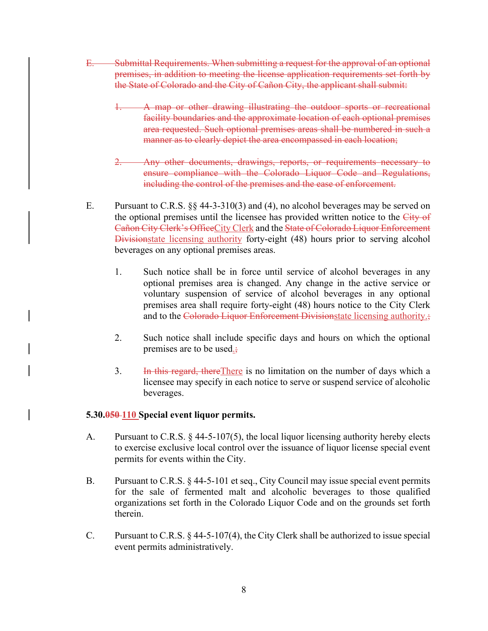- E. Submittal Requirements. When submitting a request for the approval of an optional premises, in addition to meeting the license application requirements set forth by the State of Colorado and the City of Cañon City, the applicant shall submit:
	- 1. A map or other drawing illustrating the outdoor sports or recreational facility boundaries and the approximate location of each optional premises area requested. Such optional premises areas shall be numbered in such a manner as to clearly depict the area encompassed in each location;
	- Any other documents, drawings, reports, or requirements necessary to ensure compliance with the Colorado Liquor Code and Regulations, including the control of the premises and the ease of enforcement.
- E. Pursuant to C.R.S. §§ 44-3-310(3) and (4), no alcohol beverages may be served on the optional premises until the licensee has provided written notice to the City of Cañon City Clerk's OfficeCity Clerk and the State of Colorado Liquor Enforcement Divisionstate licensing authority forty-eight (48) hours prior to serving alcohol beverages on any optional premises areas.
	- 1. Such notice shall be in force until service of alcohol beverages in any optional premises area is changed. Any change in the active service or voluntary suspension of service of alcohol beverages in any optional premises area shall require forty-eight (48) hours notice to the City Clerk and to the Colorado Liquor Enforcement Divisionstate licensing authority.;
	- 2. Such notice shall include specific days and hours on which the optional premises are to be used.;
	- 3. In this regard, there There is no limitation on the number of days which a licensee may specify in each notice to serve or suspend service of alcoholic beverages.

#### **5.30.050 110 Special event liquor permits.**

- A. Pursuant to C.R.S. § 44-5-107(5), the local liquor licensing authority hereby elects to exercise exclusive local control over the issuance of liquor license special event permits for events within the City.
- B. Pursuant to C.R.S. § 44-5-101 et seq., City Council may issue special event permits for the sale of fermented malt and alcoholic beverages to those qualified organizations set forth in the Colorado Liquor Code and on the grounds set forth therein.
- C. Pursuant to C.R.S. § 44-5-107(4), the City Clerk shall be authorized to issue special event permits administratively.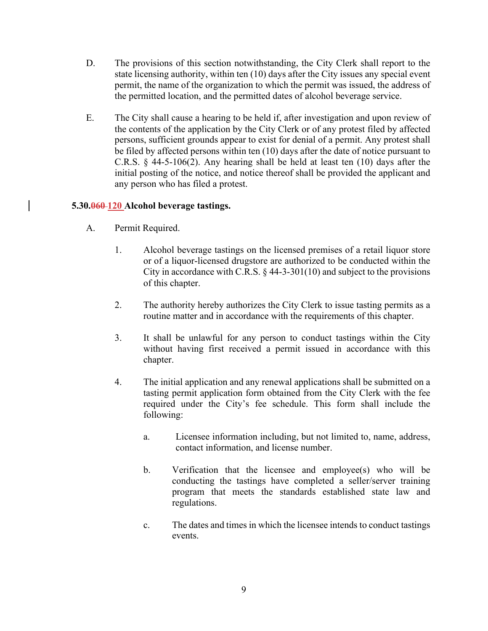- D. The provisions of this section notwithstanding, the City Clerk shall report to the state licensing authority, within ten (10) days after the City issues any special event permit, the name of the organization to which the permit was issued, the address of the permitted location, and the permitted dates of alcohol beverage service.
- E. The City shall cause a hearing to be held if, after investigation and upon review of the contents of the application by the City Clerk or of any protest filed by affected persons, sufficient grounds appear to exist for denial of a permit. Any protest shall be filed by affected persons within ten (10) days after the date of notice pursuant to C.R.S. § 44-5-106(2). Any hearing shall be held at least ten (10) days after the initial posting of the notice, and notice thereof shall be provided the applicant and any person who has filed a protest.

# **5.30.060 120 Alcohol beverage tastings.**

- A. Permit Required.
	- 1. Alcohol beverage tastings on the licensed premises of a retail liquor store or of a liquor-licensed drugstore are authorized to be conducted within the City in accordance with C.R.S.  $\S$  44-3-301(10) and subject to the provisions of this chapter.
	- 2. The authority hereby authorizes the City Clerk to issue tasting permits as a routine matter and in accordance with the requirements of this chapter.
	- 3. It shall be unlawful for any person to conduct tastings within the City without having first received a permit issued in accordance with this chapter.
	- 4. The initial application and any renewal applications shall be submitted on a tasting permit application form obtained from the City Clerk with the fee required under the City's fee schedule. This form shall include the following:
		- a. Licensee information including, but not limited to, name, address, contact information, and license number.
		- b. Verification that the licensee and employee(s) who will be conducting the tastings have completed a seller/server training program that meets the standards established state law and regulations.
		- c. The dates and times in which the licensee intends to conduct tastings events.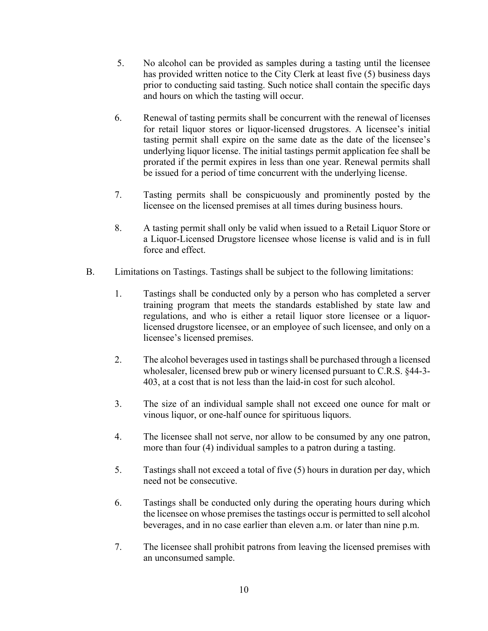- 5. No alcohol can be provided as samples during a tasting until the licensee has provided written notice to the City Clerk at least five (5) business days prior to conducting said tasting. Such notice shall contain the specific days and hours on which the tasting will occur.
- 6. Renewal of tasting permits shall be concurrent with the renewal of licenses for retail liquor stores or liquor-licensed drugstores. A licensee's initial tasting permit shall expire on the same date as the date of the licensee's underlying liquor license. The initial tastings permit application fee shall be prorated if the permit expires in less than one year. Renewal permits shall be issued for a period of time concurrent with the underlying license.
- 7. Tasting permits shall be conspicuously and prominently posted by the licensee on the licensed premises at all times during business hours.
- 8. A tasting permit shall only be valid when issued to a Retail Liquor Store or a Liquor-Licensed Drugstore licensee whose license is valid and is in full force and effect.
- B. Limitations on Tastings. Tastings shall be subject to the following limitations:
	- 1. Tastings shall be conducted only by a person who has completed a server training program that meets the standards established by state law and regulations, and who is either a retail liquor store licensee or a liquorlicensed drugstore licensee, or an employee of such licensee, and only on a licensee's licensed premises.
	- 2. The alcohol beverages used in tastings shall be purchased through a licensed wholesaler, licensed brew pub or winery licensed pursuant to C.R.S. §44-3- 403, at a cost that is not less than the laid-in cost for such alcohol.
	- 3. The size of an individual sample shall not exceed one ounce for malt or vinous liquor, or one-half ounce for spirituous liquors.
	- 4. The licensee shall not serve, nor allow to be consumed by any one patron, more than four (4) individual samples to a patron during a tasting.
	- 5. Tastings shall not exceed a total of five (5) hours in duration per day, which need not be consecutive.
	- 6. Tastings shall be conducted only during the operating hours during which the licensee on whose premises the tastings occur is permitted to sell alcohol beverages, and in no case earlier than eleven a.m. or later than nine p.m.
	- 7. The licensee shall prohibit patrons from leaving the licensed premises with an unconsumed sample.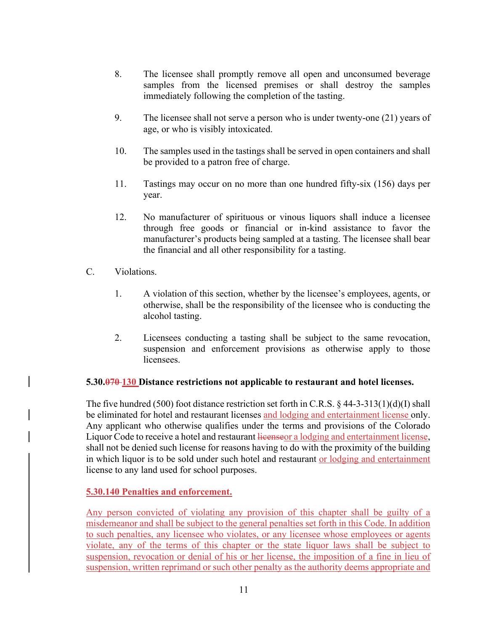- 8. The licensee shall promptly remove all open and unconsumed beverage samples from the licensed premises or shall destroy the samples immediately following the completion of the tasting.
- 9. The licensee shall not serve a person who is under twenty-one (21) years of age, or who is visibly intoxicated.
- 10. The samples used in the tastings shall be served in open containers and shall be provided to a patron free of charge.
- 11. Tastings may occur on no more than one hundred fifty-six (156) days per year.
- 12. No manufacturer of spirituous or vinous liquors shall induce a licensee through free goods or financial or in-kind assistance to favor the manufacturer's products being sampled at a tasting. The licensee shall bear the financial and all other responsibility for a tasting.
- C. Violations.
	- 1. A violation of this section, whether by the licensee's employees, agents, or otherwise, shall be the responsibility of the licensee who is conducting the alcohol tasting.
	- 2. Licensees conducting a tasting shall be subject to the same revocation, suspension and enforcement provisions as otherwise apply to those licensees.

#### **5.30.070 130 Distance restrictions not applicable to restaurant and hotel licenses.**

The five hundred (500) foot distance restriction set forth in C.R.S. § 44-3-313(1)(d)(I) shall be eliminated for hotel and restaurant licenses and lodging and entertainment license only. Any applicant who otherwise qualifies under the terms and provisions of the Colorado Liquor Code to receive a hotel and restaurant licenseor a lodging and entertainment license, shall not be denied such license for reasons having to do with the proximity of the building in which liquor is to be sold under such hotel and restaurant or lodging and entertainment license to any land used for school purposes.

#### **5.30.140 Penalties and enforcement.**

Any person convicted of violating any provision of this chapter shall be guilty of a misdemeanor and shall be subject to the general penalties set forth in this Code. In addition to such penalties, any licensee who violates, or any licensee whose employees or agents violate, any of the terms of this chapter or the state liquor laws shall be subject to suspension, revocation or denial of his or her license, the imposition of a fine in lieu of suspension, written reprimand or such other penalty as the authority deems appropriate and